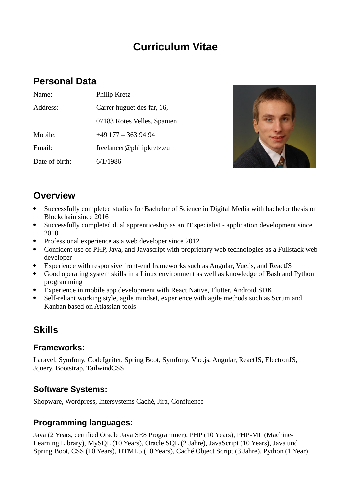# **Curriculum Vitae**

### **Personal Data**

| Name:          | Philip Kretz                |
|----------------|-----------------------------|
| Address:       | Carrer huguet des far, 16,  |
|                | 07183 Rotes Velles, Spanien |
| Mobile:        | +49 177 - 363 94 94         |
| Email:         | freelancer@philipkretz.eu   |
| Date of birth: | 6/1/1986                    |



# **Overview**

- Successfully completed studies for Bachelor of Science in Digital Media with bachelor thesis on Blockchain since 2016
- Successfully completed dual apprenticeship as an IT specialist application development since 2010
- Professional experience as a web developer since 2012
- Confident use of PHP, Java, and Javascript with proprietary web technologies as a Fullstack web developer
- Experience with responsive front-end frameworks such as Angular, Vue.js, and ReactJS
- Good operating system skills in a Linux environment as well as knowledge of Bash and Python programming
- Experience in mobile app development with React Native, Flutter, Android SDK
- Self-reliant working style, agile mindset, experience with agile methods such as Scrum and Kanban based on Atlassian tools

## **Skills**

#### **Frameworks:**

Laravel, Symfony, CodeIgniter, Spring Boot, Symfony, Vue.js, Angular, ReactJS, ElectronJS, Jquery, Bootstrap, TailwindCSS

#### **Software Systems:**

Shopware, Wordpress, Intersystems Caché, Jira, Confluence

#### **Programming languages:**

Java (2 Years, certified Oracle Java SE8 Programmer), PHP (10 Years), PHP-ML (Machine-Learning Library), MySQL (10 Years), Oracle SQL (2 Jahre), JavaScript (10 Years), Java und Spring Boot, CSS (10 Years), HTML5 (10 Years), Caché Object Script (3 Jahre), Python (1 Year)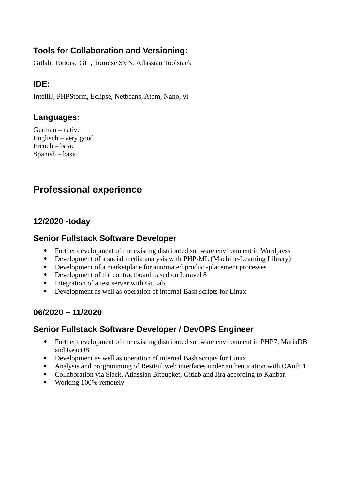### **Tools for Collaboration and Versioning:**

Gitlab, Tortoise GIT, Tortoise SVN, Atlassian Toolstack

### **IDE:**

IntelliJ, PHPStorm, Eclipse, Netbeans, Atom, Nano, vi

#### **Languages:**

German – native Englisch – very good French – basic Spanish – basic

## **Professional experience**

#### **12/2020 -today**

#### **Senior Fullstack Software Developer**

- Further development of the existing distributed software environment in Wordpress
- Development of a social media analysis with PHP-ML (Machine-Learning Library)
- Development of a marketplace for automated product-placement processes
- Development of the contractboard based on Laravel 8
- Integration of a test server with GitLab
- Development as well as operation of internal Bash scripts for Linux

#### **06/2020 – 11/2020**

#### **Senior Fullstack Software Developer / DevOPS Engineer**

- Further development of the existing distributed software environment in PHP7, MariaDB and ReactJS
- Development as well as operation of internal Bash scripts for Linux
- Analysis and programming of RestFul web interfaces under authentication with OAuth 1
- Collaboration via Slack, Atlassian Bitbucket, Gitlab and Jira according to Kanban
- Working 100% remotely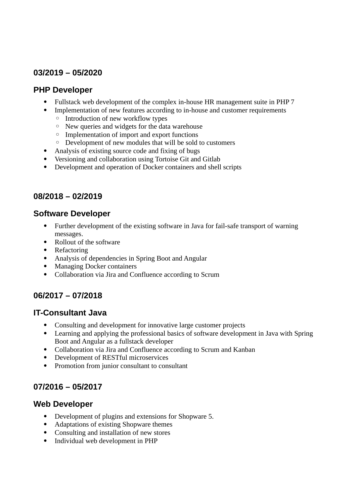#### **03/2019 – 05/2020**

#### **PHP Developer**

- Fullstack web development of the complex in-house HR management suite in PHP 7
- Implementation of new features according to in-house and customer requirements
	- Introduction of new workflow types
	- New queries and widgets for the data warehouse
	- Implementation of import and export functions
	- Development of new modules that will be sold to customers
- Analysis of existing source code and fixing of bugs
- Versioning and collaboration using Tortoise Git and Gitlab
- Development and operation of Docker containers and shell scripts

#### **08/2018 – 02/2019**

#### **Software Developer**

- Further development of the existing software in Java for fail-safe transport of warning messages.
- Rollout of the software
- Refactoring
- Analysis of dependencies in Spring Boot and Angular
- Managing Docker containers
- Collaboration via Jira and Confluence according to Scrum

#### **06/2017 – 07/2018**

#### **IT-Consultant Java**

- Consulting and development for innovative large customer projects
- Learning and applying the professional basics of software development in Java with Spring Boot and Angular as a fullstack developer
- Collaboration via Jira and Confluence according to Scrum and Kanban
- Development of RESTful microservices
- Promotion from junior consultant to consultant

#### **07/2016 – 05/2017**

#### **Web Developer**

- Development of plugins and extensions for Shopware 5.
- Adaptations of existing Shopware themes
- Consulting and installation of new stores
- Individual web development in PHP